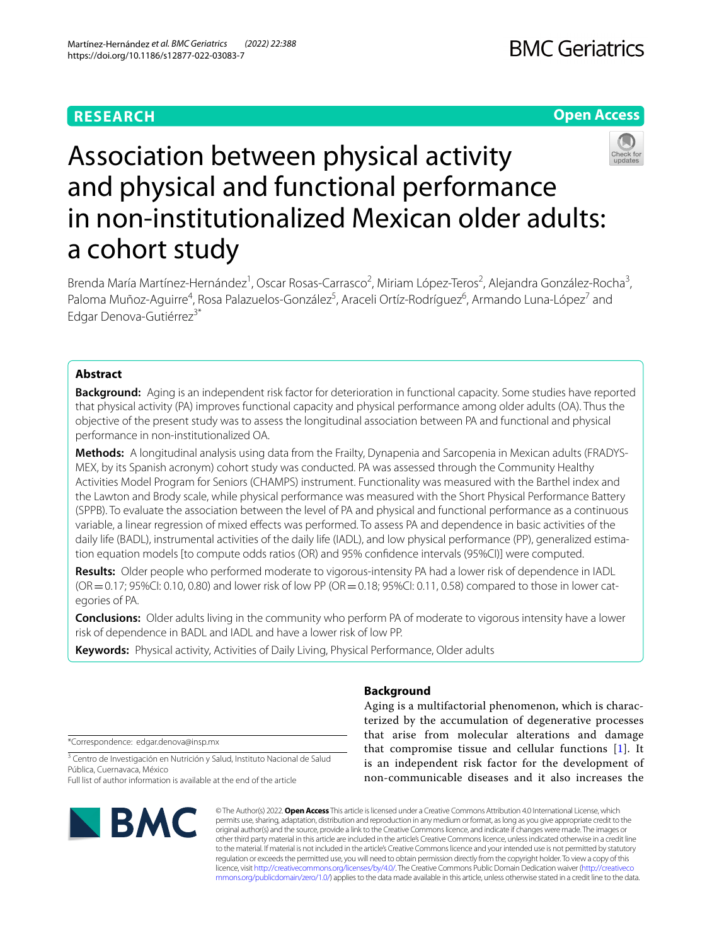# **RESEARCH**

# **Open Access**



# Association between physical activity and physical and functional performance in non‑institutionalized Mexican older adults: a cohort study

Brenda María Martínez-Hernández<sup>1</sup>, Oscar Rosas-Carrasco<sup>2</sup>, Miriam López-Teros<sup>2</sup>, Alejandra González-Rocha<sup>3</sup>, Paloma Muñoz-Aguirre<sup>4</sup>, Rosa Palazuelos-González<sup>5</sup>, Araceli Ortíz-Rodríguez<sup>6</sup>, Armando Luna-López<sup>7</sup> and Edgar Denova-Gutiérrez<sup>3\*</sup>

## **Abstract**

**Background:** Aging is an independent risk factor for deterioration in functional capacity. Some studies have reported that physical activity (PA) improves functional capacity and physical performance among older adults (OA). Thus the objective of the present study was to assess the longitudinal association between PA and functional and physical performance in non-institutionalized OA.

**Methods:** A longitudinal analysis using data from the Frailty, Dynapenia and Sarcopenia in Mexican adults (FRADYS‑ MEX, by its Spanish acronym) cohort study was conducted. PA was assessed through the Community Healthy Activities Model Program for Seniors (CHAMPS) instrument. Functionality was measured with the Barthel index and the Lawton and Brody scale, while physical performance was measured with the Short Physical Performance Battery (SPPB). To evaluate the association between the level of PA and physical and functional performance as a continuous variable, a linear regression of mixed efects was performed. To assess PA and dependence in basic activities of the daily life (BADL), instrumental activities of the daily life (IADL), and low physical performance (PP), generalized estimation equation models [to compute odds ratios (OR) and 95% confdence intervals (95%CI)] were computed.

**Results:** Older people who performed moderate to vigorous-intensity PA had a lower risk of dependence in IADL (OR = 0.17; 95%CI: 0.10, 0.80) and lower risk of low PP (OR = 0.18; 95%CI: 0.11, 0.58) compared to those in lower categories of PA.

**Conclusions:** Older adults living in the community who perform PA of moderate to vigorous intensity have a lower risk of dependence in BADL and IADL and have a lower risk of low PP.

**Keywords:** Physical activity, Activities of Daily Living, Physical Performance, Older adults

\*Correspondence: edgar.denova@insp.mx

<sup>3</sup> Centro de Investigación en Nutrición y Salud, Instituto Nacional de Salud Pública, Cuernavaca, México

Full list of author information is available at the end of the article



# **Background**

Aging is a multifactorial phenomenon, which is characterized by the accumulation of degenerative processes that arise from molecular alterations and damage that compromise tissue and cellular functions [[1\]](#page-8-0). It is an independent risk factor for the development of non-communicable diseases and it also increases the

© The Author(s) 2022. **Open Access** This article is licensed under a Creative Commons Attribution 4.0 International License, which permits use, sharing, adaptation, distribution and reproduction in any medium or format, as long as you give appropriate credit to the original author(s) and the source, provide a link to the Creative Commons licence, and indicate if changes were made. The images or other third party material in this article are included in the article's Creative Commons licence, unless indicated otherwise in a credit line to the material. If material is not included in the article's Creative Commons licence and your intended use is not permitted by statutory regulation or exceeds the permitted use, you will need to obtain permission directly from the copyright holder. To view a copy of this licence, visit [http://creativecommons.org/licenses/by/4.0/.](http://creativecommons.org/licenses/by/4.0/) The Creative Commons Public Domain Dedication waiver ([http://creativeco](http://creativecommons.org/publicdomain/zero/1.0/) [mmons.org/publicdomain/zero/1.0/](http://creativecommons.org/publicdomain/zero/1.0/)) applies to the data made available in this article, unless otherwise stated in a credit line to the data.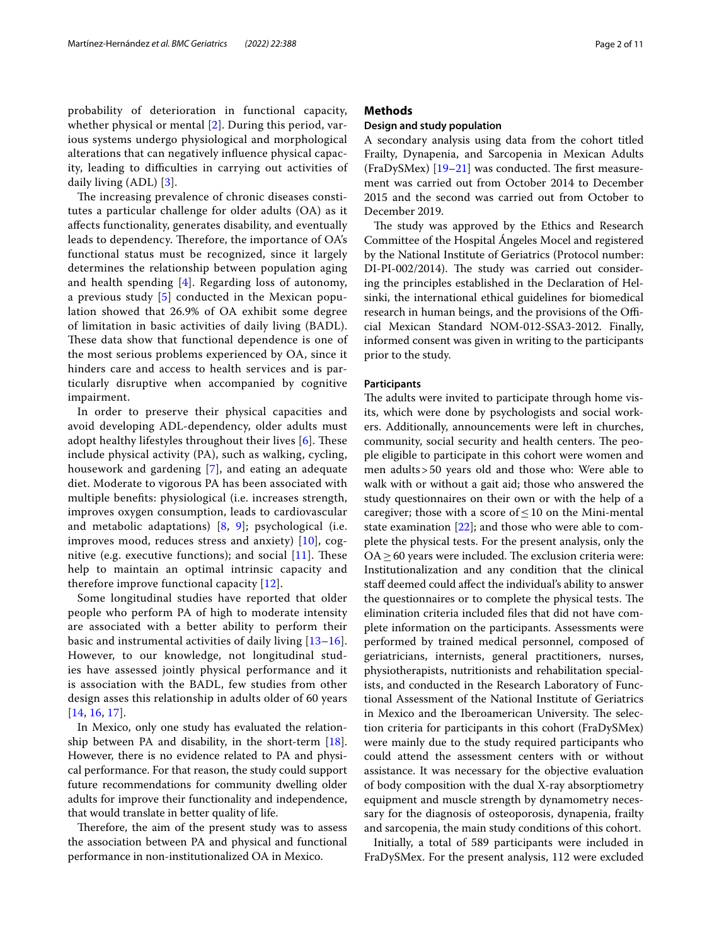probability of deterioration in functional capacity, whether physical or mental [\[2](#page-8-1)]. During this period, various systems undergo physiological and morphological alterations that can negatively infuence physical capacity, leading to difficulties in carrying out activities of daily living (ADL) [[3\]](#page-8-2).

The increasing prevalence of chronic diseases constitutes a particular challenge for older adults (OA) as it afects functionality, generates disability, and eventually leads to dependency. Therefore, the importance of OA's functional status must be recognized, since it largely determines the relationship between population aging and health spending [\[4](#page-8-3)]. Regarding loss of autonomy, a previous study [\[5](#page-8-4)] conducted in the Mexican population showed that 26.9% of OA exhibit some degree of limitation in basic activities of daily living (BADL). These data show that functional dependence is one of the most serious problems experienced by OA, since it hinders care and access to health services and is particularly disruptive when accompanied by cognitive impairment.

In order to preserve their physical capacities and avoid developing ADL-dependency, older adults must adopt healthy lifestyles throughout their lives  $[6]$  $[6]$  $[6]$ . These include physical activity (PA), such as walking, cycling, housework and gardening [\[7](#page-8-6)], and eating an adequate diet. Moderate to vigorous PA has been associated with multiple benefts: physiological (i.e. increases strength, improves oxygen consumption, leads to cardiovascular and metabolic adaptations) [[8,](#page-8-7) [9](#page-8-8)]; psychological (i.e. improves mood, reduces stress and anxiety) [[10](#page-8-9)], cognitive (e.g. executive functions); and social  $[11]$  $[11]$  $[11]$ . These help to maintain an optimal intrinsic capacity and therefore improve functional capacity [[12](#page-8-11)].

Some longitudinal studies have reported that older people who perform PA of high to moderate intensity are associated with a better ability to perform their basic and instrumental activities of daily living [[13–](#page-8-12)[16\]](#page-8-13). However, to our knowledge, not longitudinal studies have assessed jointly physical performance and it is association with the BADL, few studies from other design asses this relationship in adults older of 60 years [[14](#page-8-14), [16](#page-8-13), [17\]](#page-8-15).

In Mexico, only one study has evaluated the relationship between PA and disability, in the short-term [\[18](#page-8-16)]. However, there is no evidence related to PA and physical performance. For that reason, the study could support future recommendations for community dwelling older adults for improve their functionality and independence, that would translate in better quality of life.

Therefore, the aim of the present study was to assess the association between PA and physical and functional performance in non-institutionalized OA in Mexico.

## **Methods**

## **Design and study population**

A secondary analysis using data from the cohort titled Frailty, Dynapenia, and Sarcopenia in Mexican Adults  $(FraDySMex)$  [\[19](#page-9-0)[–21](#page-9-1)] was conducted. The first measurement was carried out from October 2014 to December 2015 and the second was carried out from October to December 2019.

The study was approved by the Ethics and Research Committee of the Hospital Ángeles Mocel and registered by the National Institute of Geriatrics (Protocol number: DI-PI-002/2014). The study was carried out considering the principles established in the Declaration of Helsinki, the international ethical guidelines for biomedical research in human beings, and the provisions of the Official Mexican Standard NOM-012-SSA3-2012. Finally, informed consent was given in writing to the participants prior to the study.

## **Participants**

The adults were invited to participate through home visits, which were done by psychologists and social workers. Additionally, announcements were left in churches, community, social security and health centers. The people eligible to participate in this cohort were women and men adults>50 years old and those who: Were able to walk with or without a gait aid; those who answered the study questionnaires on their own or with the help of a caregiver; those with a score of  $\leq$  10 on the Mini-mental state examination [\[22](#page-9-2)]; and those who were able to complete the physical tests. For the present analysis, only the  $OA \geq 60$  years were included. The exclusion criteria were: Institutionalization and any condition that the clinical staff deemed could affect the individual's ability to answer the questionnaires or to complete the physical tests. The elimination criteria included fles that did not have complete information on the participants. Assessments were performed by trained medical personnel, composed of geriatricians, internists, general practitioners, nurses, physiotherapists, nutritionists and rehabilitation specialists, and conducted in the Research Laboratory of Functional Assessment of the National Institute of Geriatrics in Mexico and the Iberoamerican University. The selection criteria for participants in this cohort (FraDySMex) were mainly due to the study required participants who could attend the assessment centers with or without assistance. It was necessary for the objective evaluation of body composition with the dual X-ray absorptiometry equipment and muscle strength by dynamometry necessary for the diagnosis of osteoporosis, dynapenia, frailty and sarcopenia, the main study conditions of this cohort.

Initially, a total of 589 participants were included in FraDySMex. For the present analysis, 112 were excluded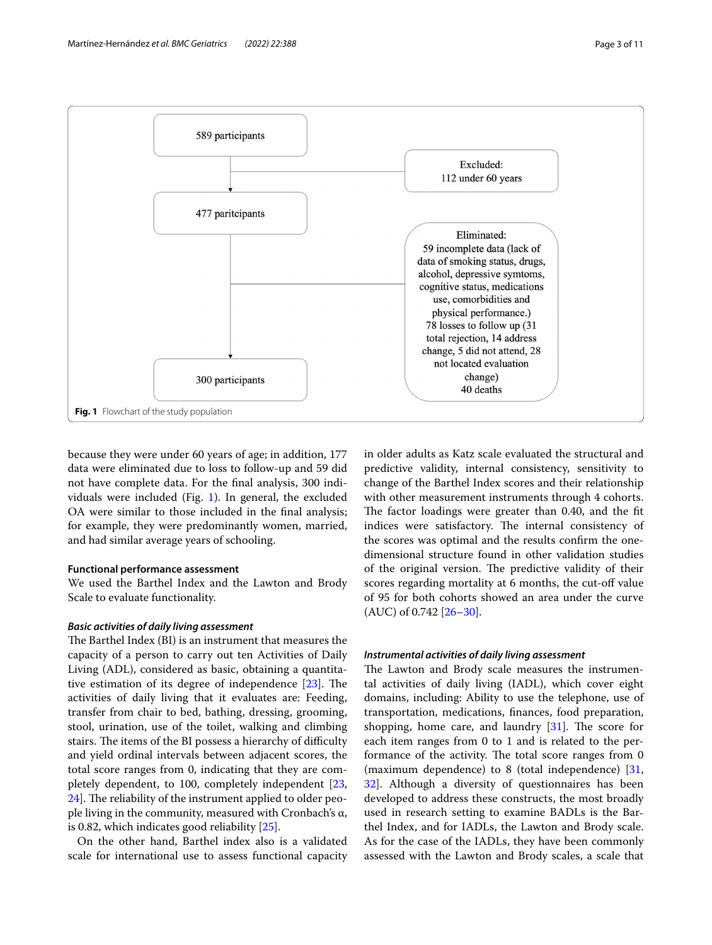

<span id="page-2-0"></span>because they were under 60 years of age; in addition, 177 data were eliminated due to loss to follow-up and 59 did not have complete data. For the fnal analysis, 300 individuals were included (Fig. [1](#page-2-0)). In general, the excluded OA were similar to those included in the fnal analysis; for example, they were predominantly women, married, and had similar average years of schooling.

## **Functional performance assessment**

We used the Barthel Index and the Lawton and Brody Scale to evaluate functionality.

## *Basic activities of daily living assessment*

The Barthel Index (BI) is an instrument that measures the capacity of a person to carry out ten Activities of Daily Living (ADL), considered as basic, obtaining a quantitative estimation of its degree of independence  $[23]$  $[23]$ . The activities of daily living that it evaluates are: Feeding, transfer from chair to bed, bathing, dressing, grooming, stool, urination, use of the toilet, walking and climbing stairs. The items of the BI possess a hierarchy of difficulty and yield ordinal intervals between adjacent scores, the total score ranges from 0, indicating that they are completely dependent, to 100, completely independent [\[23](#page-9-3), [24\]](#page-9-4). The reliability of the instrument applied to older people living in the community, measured with Cronbach's  $\alpha$ , is 0.82, which indicates good reliability [\[25](#page-9-5)].

On the other hand, Barthel index also is a validated scale for international use to assess functional capacity in older adults as Katz scale evaluated the structural and predictive validity, internal consistency, sensitivity to change of the Barthel Index scores and their relationship with other measurement instruments through 4 cohorts. The factor loadings were greater than 0.40, and the fit indices were satisfactory. The internal consistency of the scores was optimal and the results confrm the onedimensional structure found in other validation studies of the original version. The predictive validity of their scores regarding mortality at 6 months, the cut-off value of 95 for both cohorts showed an area under the curve (AUC) of 0.742 [\[26–](#page-9-6)[30\]](#page-9-7).

## *Instrumental activities of daily living assessment*

The Lawton and Brody scale measures the instrumental activities of daily living (IADL), which cover eight domains, including: Ability to use the telephone, use of transportation, medications, fnances, food preparation, shopping, home care, and laundry  $[31]$  $[31]$ . The score for each item ranges from 0 to 1 and is related to the performance of the activity. The total score ranges from 0 (maximum dependence) to 8 (total independence) [[31](#page-9-8), [32\]](#page-9-9). Although a diversity of questionnaires has been developed to address these constructs, the most broadly used in research setting to examine BADLs is the Barthel Index, and for IADLs, the Lawton and Brody scale. As for the case of the IADLs, they have been commonly assessed with the Lawton and Brody scales, a scale that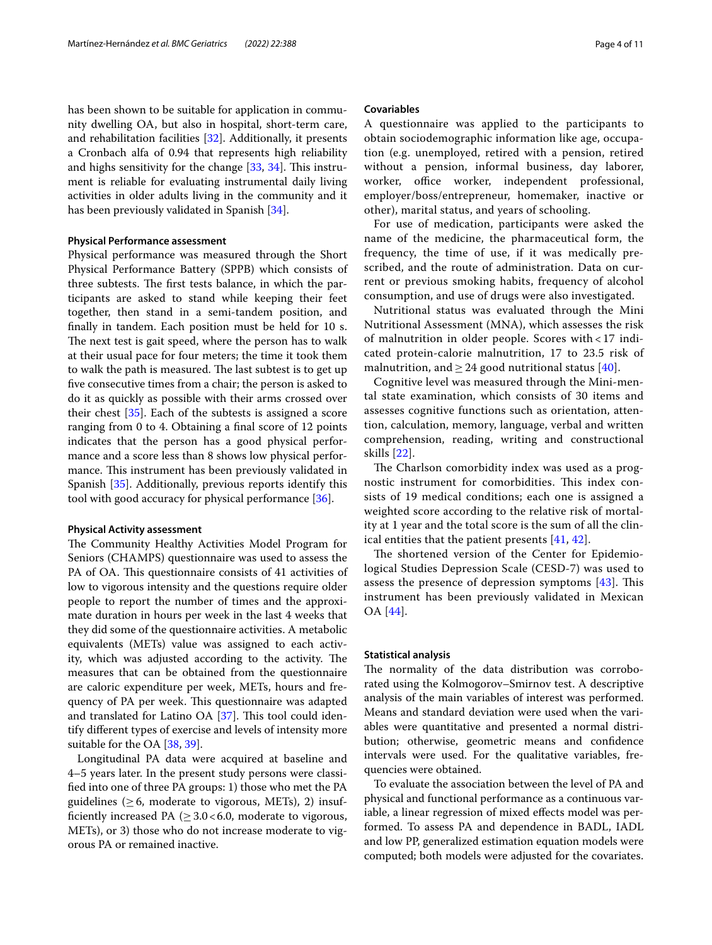has been shown to be suitable for application in community dwelling OA, but also in hospital, short-term care, and rehabilitation facilities [\[32](#page-9-9)]. Additionally, it presents a Cronbach alfa of 0.94 that represents high reliability and highs sensitivity for the change  $[33, 34]$  $[33, 34]$  $[33, 34]$ . This instrument is reliable for evaluating instrumental daily living activities in older adults living in the community and it has been previously validated in Spanish [[34](#page-9-11)].

#### **Physical Performance assessment**

Physical performance was measured through the Short Physical Performance Battery (SPPB) which consists of three subtests. The first tests balance, in which the participants are asked to stand while keeping their feet together, then stand in a semi-tandem position, and fnally in tandem. Each position must be held for 10 s. The next test is gait speed, where the person has to walk at their usual pace for four meters; the time it took them to walk the path is measured. The last subtest is to get up fve consecutive times from a chair; the person is asked to do it as quickly as possible with their arms crossed over their chest [\[35](#page-9-12)]. Each of the subtests is assigned a score ranging from 0 to 4. Obtaining a fnal score of 12 points indicates that the person has a good physical performance and a score less than 8 shows low physical performance. This instrument has been previously validated in Spanish [\[35](#page-9-12)]. Additionally, previous reports identify this tool with good accuracy for physical performance [\[36](#page-9-13)].

#### **Physical Activity assessment**

The Community Healthy Activities Model Program for Seniors (CHAMPS) questionnaire was used to assess the PA of OA. This questionnaire consists of 41 activities of low to vigorous intensity and the questions require older people to report the number of times and the approximate duration in hours per week in the last 4 weeks that they did some of the questionnaire activities. A metabolic equivalents (METs) value was assigned to each activity, which was adjusted according to the activity. The measures that can be obtained from the questionnaire are caloric expenditure per week, METs, hours and frequency of PA per week. This questionnaire was adapted and translated for Latino OA  $[37]$  $[37]$ . This tool could identify diferent types of exercise and levels of intensity more suitable for the OA [\[38,](#page-9-15) [39](#page-9-16)].

Longitudinal PA data were acquired at baseline and 4–5 years later. In the present study persons were classifed into one of three PA groups: 1) those who met the PA guidelines ( $\geq$  6, moderate to vigorous, METs), 2) insufficiently increased PA ( $\geq$  3.0 < 6.0, moderate to vigorous, METs), or 3) those who do not increase moderate to vigorous PA or remained inactive.

#### **Covariables**

A questionnaire was applied to the participants to obtain sociodemographic information like age, occupation (e.g. unemployed, retired with a pension, retired without a pension, informal business, day laborer, worker, office worker, independent professional, employer/boss/entrepreneur, homemaker, inactive or other), marital status, and years of schooling.

For use of medication, participants were asked the name of the medicine, the pharmaceutical form, the frequency, the time of use, if it was medically prescribed, and the route of administration. Data on current or previous smoking habits, frequency of alcohol consumption, and use of drugs were also investigated.

Nutritional status was evaluated through the Mini Nutritional Assessment (MNA), which assesses the risk of malnutrition in older people. Scores with < 17 indicated protein-calorie malnutrition, 17 to 23.5 risk of malnutrition, and  $\geq$  24 good nutritional status [[40\]](#page-9-17).

Cognitive level was measured through the Mini-mental state examination, which consists of 30 items and assesses cognitive functions such as orientation, attention, calculation, memory, language, verbal and written comprehension, reading, writing and constructional skills [[22\]](#page-9-2).

The Charlson comorbidity index was used as a prognostic instrument for comorbidities. This index consists of 19 medical conditions; each one is assigned a weighted score according to the relative risk of mortality at 1 year and the total score is the sum of all the clinical entities that the patient presents [[41,](#page-9-18) [42\]](#page-9-19).

The shortened version of the Center for Epidemiological Studies Depression Scale (CESD-7) was used to assess the presence of depression symptoms  $[43]$  $[43]$ . This instrument has been previously validated in Mexican OA [\[44](#page-9-21)].

#### **Statistical analysis**

The normality of the data distribution was corroborated using the Kolmogorov–Smirnov test. A descriptive analysis of the main variables of interest was performed. Means and standard deviation were used when the variables were quantitative and presented a normal distribution; otherwise, geometric means and confdence intervals were used. For the qualitative variables, frequencies were obtained.

To evaluate the association between the level of PA and physical and functional performance as a continuous variable, a linear regression of mixed efects model was performed. To assess PA and dependence in BADL, IADL and low PP, generalized estimation equation models were computed; both models were adjusted for the covariates.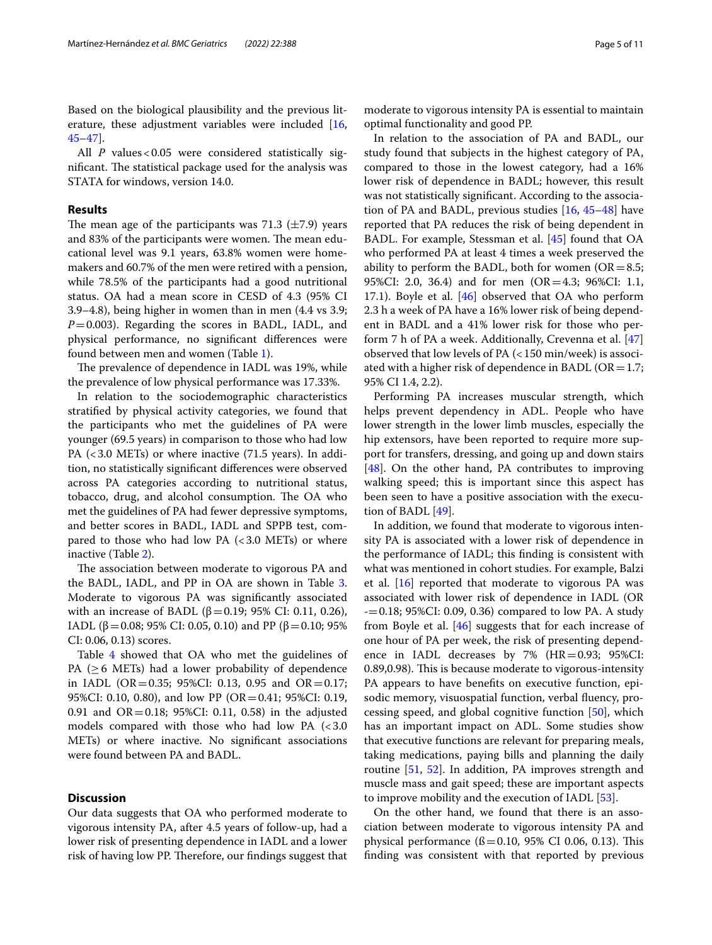Based on the biological plausibility and the previous literature, these adjustment variables were included [\[16](#page-8-13), [45–](#page-9-22)[47](#page-9-23)].

All *P* values < 0.05 were considered statistically significant. The statistical package used for the analysis was STATA for windows, version 14.0.

## **Results**

The mean age of the participants was 71.3  $(\pm 7.9)$  years and 83% of the participants were women. The mean educational level was 9.1 years, 63.8% women were homemakers and 60.7% of the men were retired with a pension, while 78.5% of the participants had a good nutritional status. OA had a mean score in CESD of 4.3 (95% CI 3.9–4.8), being higher in women than in men (4.4 vs 3.9; *P*=0.003). Regarding the scores in BADL, IADL, and physical performance, no signifcant diferences were found between men and women (Table [1](#page-5-0)).

The prevalence of dependence in IADL was 19%, while the prevalence of low physical performance was 17.33%.

In relation to the sociodemographic characteristics stratifed by physical activity categories, we found that the participants who met the guidelines of PA were younger (69.5 years) in comparison to those who had low PA (<3.0 METs) or where inactive (71.5 years). In addition, no statistically signifcant diferences were observed across PA categories according to nutritional status, tobacco, drug, and alcohol consumption. The OA who met the guidelines of PA had fewer depressive symptoms, and better scores in BADL, IADL and SPPB test, compared to those who had low PA  $( $3.0$  METs) or where$ inactive (Table [2\)](#page-6-0).

The association between moderate to vigorous PA and the BADL, IADL, and PP in OA are shown in Table [3](#page-7-0). Moderate to vigorous PA was signifcantly associated with an increase of BADL (β = 0.19; 95% CI: 0.11, 0.26), IADL (β = 0.08; 95% CI: 0.05, 0.10) and PP (β = 0.10; 95% CI: 0.06, 0.13) scores.

Table [4](#page-7-1) showed that OA who met the guidelines of PA ( $\geq$  6 METs) had a lower probability of dependence in IADL (OR=0.35; 95%CI: 0.13, 0.95 and OR=0.17; 95%CI: 0.10, 0.80), and low PP (OR=0.41; 95%CI: 0.19, 0.91 and  $OR = 0.18$ ; 95%CI: 0.11, 0.58) in the adjusted models compared with those who had low PA  $\leq 3.0$ METs) or where inactive. No signifcant associations were found between PA and BADL.

## **Discussion**

Our data suggests that OA who performed moderate to vigorous intensity PA, after 4.5 years of follow-up, had a lower risk of presenting dependence in IADL and a lower risk of having low PP. Therefore, our findings suggest that

moderate to vigorous intensity PA is essential to maintain optimal functionality and good PP.

In relation to the association of PA and BADL, our study found that subjects in the highest category of PA, compared to those in the lowest category, had a 16% lower risk of dependence in BADL; however, this result was not statistically signifcant. According to the association of PA and BADL, previous studies [[16,](#page-8-13) [45–](#page-9-22)[48\]](#page-9-24) have reported that PA reduces the risk of being dependent in BADL. For example, Stessman et al. [\[45\]](#page-9-22) found that OA who performed PA at least 4 times a week preserved the ability to perform the BADL, both for women  $(OR = 8.5;$ 95%CI: 2.0, 36.4) and for men (OR=4.3; 96%CI: 1.1, 17.1). Boyle et al. [\[46](#page-9-25)] observed that OA who perform 2.3 h a week of PA have a 16% lower risk of being dependent in BADL and a 41% lower risk for those who perform 7 h of PA a week. Additionally, Crevenna et al. [[47](#page-9-23)] observed that low levels of PA (<150 min/week) is associated with a higher risk of dependence in BADL ( $OR = 1.7$ ; 95% CI 1.4, 2.2).

Performing PA increases muscular strength, which helps prevent dependency in ADL. People who have lower strength in the lower limb muscles, especially the hip extensors, have been reported to require more support for transfers, dressing, and going up and down stairs [[48\]](#page-9-24). On the other hand, PA contributes to improving walking speed; this is important since this aspect has been seen to have a positive association with the execution of BADL [\[49\]](#page-9-26).

In addition, we found that moderate to vigorous intensity PA is associated with a lower risk of dependence in the performance of IADL; this fnding is consistent with what was mentioned in cohort studies. For example, Balzi et al. [[16](#page-8-13)] reported that moderate to vigorous PA was associated with lower risk of dependence in IADL (OR -=0.18; 95%CI: 0.09, 0.36) compared to low PA. A study from Boyle et al. [[46\]](#page-9-25) suggests that for each increase of one hour of PA per week, the risk of presenting dependence in IADL decreases by 7%  $(HR=0.93; 95\% CI:$ 0.89,0.98). This is because moderate to vigorous-intensity PA appears to have benefts on executive function, episodic memory, visuospatial function, verbal fuency, processing speed, and global cognitive function [\[50](#page-9-27)], which has an important impact on ADL. Some studies show that executive functions are relevant for preparing meals, taking medications, paying bills and planning the daily routine [[51](#page-9-28), [52](#page-9-29)]. In addition, PA improves strength and muscle mass and gait speed; these are important aspects to improve mobility and the execution of IADL [\[53\]](#page-9-30).

On the other hand, we found that there is an association between moderate to vigorous intensity PA and physical performance  $(6 = 0.10, 95\% \text{ CI } 0.06, 0.13)$ . This fnding was consistent with that reported by previous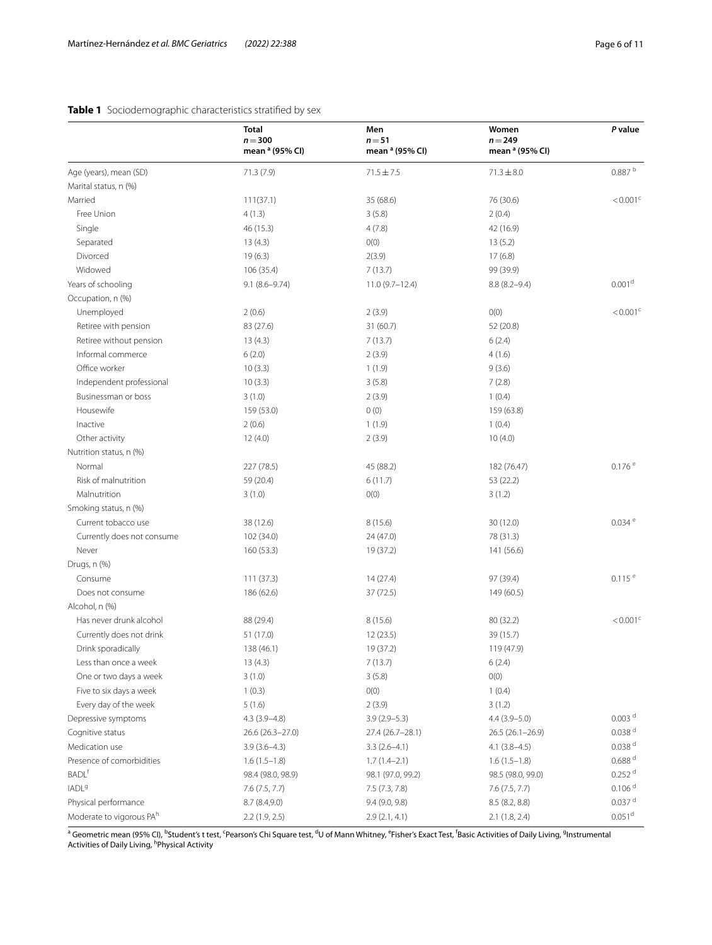## <span id="page-5-0"></span>**Table 1** Sociodemographic characteristics stratifed by sex

|                                      | <b>Total</b><br>$n = 300$<br>mean <sup>a</sup> (95% CI) | Men<br>$n = 51$<br>mean <sup>a</sup> (95% CI) | Women<br>$n = 249$<br>mean <sup>a</sup> (95% CI) | P value                |  |
|--------------------------------------|---------------------------------------------------------|-----------------------------------------------|--------------------------------------------------|------------------------|--|
| Age (years), mean (SD)               | 71.3(7.9)                                               | $71.5 \pm 7.5$                                | $71.3 \pm 8.0$                                   | 0.887 <sup>b</sup>     |  |
| Marital status, n (%)                |                                                         |                                               |                                                  |                        |  |
| Married                              | 111(37.1)                                               | 35 (68.6)                                     | 76 (30.6)                                        | $< 0.001^{\circ}$      |  |
| Free Union                           | 4(1.3)                                                  | 3(5.8)                                        | 2(0.4)                                           |                        |  |
| Single                               | 46 (15.3)                                               | 4(7.8)                                        | 42 (16.9)                                        |                        |  |
| Separated                            | 13(4.3)                                                 | O(0)                                          | 13(5.2)                                          |                        |  |
| Divorced                             | 19(6.3)                                                 | 2(3.9)                                        | 17(6.8)                                          |                        |  |
| Widowed                              | 106 (35.4)                                              | 7(13.7)                                       | 99 (39.9)                                        |                        |  |
| Years of schooling                   | $9.1(8.6 - 9.74)$                                       | $11.0(9.7 - 12.4)$                            | $8.8(8.2 - 9.4)$                                 | 0.001 <sup>d</sup>     |  |
| Occupation, n (%)                    |                                                         |                                               |                                                  |                        |  |
| Unemployed                           | 2(0.6)                                                  | 2(3.9)                                        | O(0)                                             | $< 0.001$ <sup>c</sup> |  |
| Retiree with pension                 | 83 (27.6)                                               | 31(60.7)                                      | 52 (20.8)                                        |                        |  |
| Retiree without pension              | 13(4.3)                                                 | 7(13.7)                                       | 6(2.4)                                           |                        |  |
| Informal commerce                    | 6(2.0)                                                  | 2(3.9)                                        | 4(1.6)                                           |                        |  |
| Office worker                        | 10(3.3)                                                 | 1(1.9)                                        | 9(3.6)                                           |                        |  |
| Independent professional             | 10(3.3)                                                 | 3(5.8)                                        | 7(2.8)                                           |                        |  |
| Businessman or boss                  | 3(1.0)                                                  | 2(3.9)                                        | 1(0.4)                                           |                        |  |
| Housewife                            | 159 (53.0)                                              | 0(0)                                          | 159 (63.8)                                       |                        |  |
| Inactive                             | 2(0.6)                                                  | 1(1.9)                                        | 1(0.4)                                           |                        |  |
| Other activity                       | 12(4.0)                                                 | 2(3.9)                                        | 10(4.0)                                          |                        |  |
| Nutrition status, n (%)              |                                                         |                                               |                                                  |                        |  |
| Normal                               | 227 (78.5)                                              | 45 (88.2)                                     | 182 (76.47)                                      | 0.176e                 |  |
| Risk of malnutrition                 | 59 (20.4)                                               | 6(11.7)                                       | 53 (22.2)                                        |                        |  |
| Malnutrition                         | 3(1.0)                                                  | O(0)                                          | 3(1.2)                                           |                        |  |
| Smoking status, n (%)                |                                                         |                                               |                                                  |                        |  |
| Current tobacco use                  | 38 (12.6)                                               | 8(15.6)                                       | 30 (12.0)                                        | $0.034$ <sup>e</sup>   |  |
| Currently does not consume           | 102 (34.0)                                              | 24 (47.0)                                     | 78 (31.3)                                        |                        |  |
| Never                                | 160 (53.3)                                              | 19 (37.2)                                     | 141 (56.6)                                       |                        |  |
| Drugs, n (%)                         |                                                         |                                               |                                                  |                        |  |
| Consume                              | 111(37.3)                                               | 14(27.4)                                      | 97 (39.4)                                        | $0.115$ <sup>e</sup>   |  |
| Does not consume                     | 186 (62.6)                                              | 37 (72.5)                                     | 149 (60.5)                                       |                        |  |
| Alcohol, n (%)                       |                                                         |                                               |                                                  |                        |  |
| Has never drunk alcohol              | 88 (29.4)                                               | 8(15.6)                                       | 80 (32.2)                                        | $< 0.001$ <sup>c</sup> |  |
| Currently does not drink             | 51 (17.0)                                               | 12(23.5)                                      | 39 (15.7)                                        |                        |  |
| Drink sporadically                   | 138 (46.1)                                              | 19 (37.2)                                     | 119 (47.9)                                       |                        |  |
| Less than once a week                | 13(4.3)                                                 | 7(13.7)                                       | 6(2.4)                                           |                        |  |
| One or two days a week               | 3(1.0)                                                  | 3(5.8)                                        | O(0)                                             |                        |  |
| Five to six days a week              | 1(0.3)                                                  | O(0)                                          | 1(0.4)                                           |                        |  |
| Every day of the week                | 5(1.6)                                                  | 2(3.9)                                        | 3(1.2)                                           |                        |  |
| Depressive symptoms                  | $4.3(3.9 - 4.8)$                                        | $3.9(2.9-5.3)$                                | $4.4(3.9-5.0)$                                   | 0.003 <sup>d</sup>     |  |
| Cognitive status                     | 26.6 (26.3-27.0)                                        | 27.4 (26.7-28.1)                              | $26.5(26.1-26.9)$                                | $0.038$ <sup>d</sup>   |  |
| Medication use                       | $3.9(3.6-4.3)$                                          | $3.3(2.6-4.1)$                                | $4.1(3.8-4.5)$                                   | $0.038$ <sup>d</sup>   |  |
| Presence of comorbidities            | $1.6(1.5-1.8)$                                          | $1.7(1.4-2.1)$                                | $1.6(1.5-1.8)$                                   | $0.688$ $^{\rm d}$     |  |
| <b>BADL</b> <sup>f</sup>             | 98.4 (98.0, 98.9)                                       | 98.1 (97.0, 99.2)                             | 98.5 (98.0, 99.0)                                | $0.252$ <sup>d</sup>   |  |
| IADL <sup>9</sup>                    | 7.6(7.5, 7.7)                                           | 7.5(7.3, 7.8)                                 | 7.6(7.5, 7.7)                                    | $0.106$ $^{\rm d}$     |  |
| Physical performance                 | 8.7(8.4,9.0)                                            | 9.4(9.0, 9.8)                                 | 8.5(8.2, 8.8)                                    | $0.037$ $^{\rm d}$     |  |
| Moderate to vigorous PA <sup>h</sup> | 2.2(1.9, 2.5)                                           | 2.9(2.1, 4.1)                                 | $2.1$ (1.8, 2.4)                                 | $0.051$ <sup>d</sup>   |  |

<sup>a</sup> Geometric mean (95% CI), <sup>b</sup>Student's t test, <sup>c</sup>Pearson's Chi Square test, <sup>d</sup>U of Mann Whitney, <sup>e</sup>Fisher's Exact Test, <sup>f</sup>Basic Activities of Daily Living, <sup>g</sup>Instrumental<br>Activities of Daily Living, <sup>h</sup>Physical Act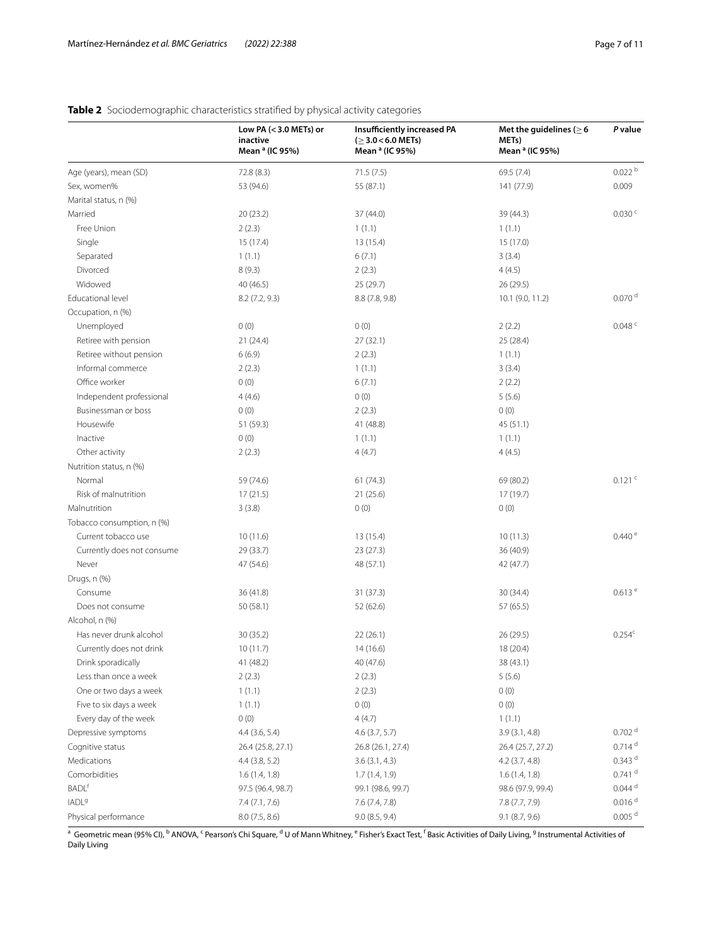## **Low PA (<3.0 METs) or inactive Mean a (IC 95%) Insufficiently increased PA (**≥**3.0<6.0 METs) Mean a (IC 95%) Met the guidelines (**≥**6 METs) Mean a (IC 95%)** *P* **value** Age (years), mean (SD) 72.8 (8.3) 72.8 (8.3) 71.5 (7.5) 69.5 (7.4) 69.5 (7.4) 0.022 <sup>b</sup> Sex, women% 53 (94.6) 55 (87.1) 141 (77.9) 0.009 Marital status, n (%)  $\text{Married} \quad 20 \text{ (23.2)} \quad 37 \text{ (44.0)} \quad 37 \text{ (44.3)} \quad 0.030 \text{ (44.4)}$ Free Union 1 (1.1) 1 (1.1) 1 (1.1) 1 (1.1) Single 15 (17.4) 15 (17.4) 13 (15.4) 13 (15.4) 13 (17.0) 15 (17.0) Separated 3 (1.1) 6 (7.1) 6 (7.1) 3 (3.4) Divorced 8 (9.3) 2 (2.3) 4 (4.5) Widowed 40 (46.5) 25 (29.7) 26 (29.5) Educational level  $8.2$  (7.2, 9.3)  $8.8$  (7.8, 9.8)  $10.1$  (9.0, 11.2)  $0.070$  d Occupation, n (%)  $U$ nemployed 0 (0) 0 (0) 0 (0) 0 (0) 0 (2.2) 0.048 c Retiree with pension 21 (24.4) 27 (32.1) 25 (28.4) Retiree without pension  $6(6.9)$   $2(2.3)$   $1(1.1)$ Informal commerce 2 (2.3) 1 (1.1) 3 (3.4) Office worker  $0 (0)$  0 (0) 6 (7.1) 2 (2.2)  $10$  Independent professional  $4(4.6)$   $0(0)$  5 (5.6) Businessman or boss  $0 \tag{0}$  (0)  $2 \tag{2.3}$  0 (0)  $0 \tag{0}$ Housewife 51 (59.3) 41 (48.8) 45 (51.1)  $I(1.1)$  1 (1.1) 1 (1.1) Other activity 2 (2.3) 4 (4.7) 4 (4.5) Nutrition status, n (%) Normal 61 (74.6) 69 (74.6) 69 (74.6) 69 (80.2) 69 (80.2) 69 (80.2) 69 (80.2) 69 (80.2) 69 (80.2) 69 (80.2) 69 ( Risk of malnutrition 17 (21.5) 21 (25.6) 17 (19.7) Malnutrition 0 (0) 0 (0) 0 (0) 0 (0) 0 (0) 0 (0) 0 (0) Tobacco consumption, n (%) Current tobacco use 10 (11.6) 13 (15.4) 13 (15.4) 13 (15.4) 10 (11.3) 0.440 <sup>e</sup> Currently does not consume 29 (33.7) 23 (27.3) 36 (40.9) Never 2001 120 42 (47.7) 42 (47.7) 48 (57.1) 48 (57.1) 48 (57.1) Drugs, n (%) Consume 36 (41.8) 30 (34.4) 31 (37.3) 30 (34.4) 31 (37.3) Does not consume 50 (58.1) 52 (62.6) 57 (65.5) Alcohol, n (%) Has never drunk alcohol 30 (35.2) 22 (26.1) 26 (29.5) 0.254<sup>c</sup> Currently does not drink 10 (11.7) 14 (16.6) 18 (20.4) Drink sporadically 41 (48.2) 40 (47.6) 38 (43.1) Less than once a week 2 (2.3) 2 (2.3) 2 (2.3) 5 (5.6) One or two days a week  $1 (1.1)$   $2 (2.3)$   $0 (0)$ Five to six days a week  $1 (1.1)$  0 (0) 0 (0) 0 (0) 0 (0) Every day of the week  $0 (0)$   $4 (4.7)$   $1 (1.1)$ Depressive symptoms **4.4** (3.6, 5.4) 4.6 (3.7, 5.7) 3.9 (3.1, 4.8) 3.9 (3.1, 4.8) 0.702 d Cognitive status 26.4 (25.8, 27.1) 26.8 (26.1, 27.4) 26.4 (25.7, 27.2) 26.4 (25.7, 27.2) 26.4 (25.7, 27.2) Medications  $4.4 \ (3.8, 5.2)$   $3.6 \ (3.1, 4.3)$   $4.2 \ (3.7, 4.8)$   $0.343$   $d$ Comorbidities 2.1.4 (1.4, 1.8) 1.6 (1.4, 1.8) 1.6 (1.4, 1.9) 1.6 (1.4, 1.8) 1.6 (1.4, 1.8) 1.6 (1.4, 1.8)  $\text{BADL}^{\text{f}}$  97.5 (96.4, 98.7) 99.1 (98.6, 99.7) 98.6 (97.9, 99.4) 98.6 (97.9, 99.4) 0.044 d  $I = \frac{1}{2}$   $I = \frac{7.4}{7.7.6}$   $I = \frac{7.6}{7.4, 7.8}$   $I = \frac{7.8}{7.7, 7.9}$  0.016<sup>d</sup> Physical performance  $8.0 (7.5, 8.6)$   $9.0 (8.5, 9.4)$   $9.1 (8.7, 9.6)$   $0.005$  d

## <span id="page-6-0"></span>**Table 2** Sociodemographic characteristics stratified by physical activity categories

<sup>a</sup> Geometric mean (95% CI), <sup>b</sup> ANOVA, <sup>c</sup> Pearson's Chi Square, <sup>d</sup> U of Mann Whitney, <sup>e</sup> Fisher's Exact Test, <sup>f</sup> Basic Activities of Daily Living, <sup>g</sup> Instrumental Activities of Daily Living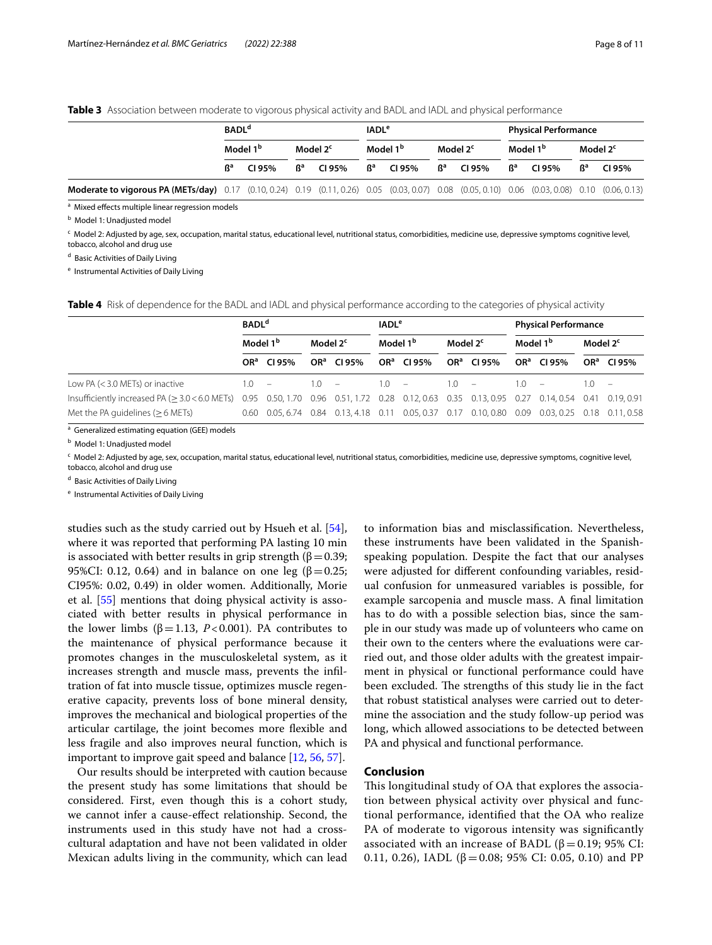<span id="page-7-0"></span>**Table 3** Association between moderate to vigorous physical activity and BADL and IADL and physical performance

|                                                                                                                                                | <b>BADL<sup>d</sup></b> |        |                      |        | <b>IADL<sup>e</sup></b> |        |                           |        | <b>Physical Performance</b> |        |                      |       |
|------------------------------------------------------------------------------------------------------------------------------------------------|-------------------------|--------|----------------------|--------|-------------------------|--------|---------------------------|--------|-----------------------------|--------|----------------------|-------|
|                                                                                                                                                | Model 1 <sup>b</sup>    |        | Model 2 <sup>c</sup> |        | Model 1 <sup>b</sup>    |        | Model 2 <sup>c</sup>      |        | Model 1 <sup>b</sup>        |        | Model 2 <sup>c</sup> |       |
|                                                                                                                                                | R <sup>a</sup>          | CI 95% | R <sup>a</sup>       | CI 95% | $\mathsf{R}^\mathsf{a}$ | CI 95% | $\mathbf{B}^{\mathbf{a}}$ | CI 95% | $\mathsf{R}^\mathsf{a}$     | CI 95% | Rª                   | C195% |
| Moderate to vigorous PA (METs/day) 0.17 (0.10, 0.24) 0.19 (0.11, 0.26) 0.05 (0.03, 0.07) 0.08 (0.05, 0.10) 0.06 (0.03, 0.08) 0.10 (0.06, 0.13) |                         |        |                      |        |                         |        |                           |        |                             |        |                      |       |

<sup>a</sup> Mixed effects multiple linear regression models

<sup>b</sup> Model 1: Unadjusted model

<sup>c</sup> Model 2: Adjusted by age, sex, occupation, marital status, educational level, nutritional status, comorbidities, medicine use, depressive symptoms cognitive level, tobacco, alcohol and drug use

<sup>d</sup> Basic Activities of Daily Living

<sup>e</sup> Instrumental Activities of Daily Living

<span id="page-7-1"></span>**Table 4** Risk of dependence for the BADL and IADL and physical performance according to the categories of physical activity

|                                               | <b>BADL<sup>d</sup></b> |                        |                      |                        | <b>IADL<sup>e</sup></b> |                        |                      |                        | <b>Physical Performance</b> |                                                                                                 |                      |                        |
|-----------------------------------------------|-------------------------|------------------------|----------------------|------------------------|-------------------------|------------------------|----------------------|------------------------|-----------------------------|-------------------------------------------------------------------------------------------------|----------------------|------------------------|
|                                               | Model 1 <sup>b</sup>    |                        | Model 2 <sup>c</sup> |                        | Model 1 <sup>b</sup>    |                        | Model 2 <sup>c</sup> |                        | Model 1 <sup>b</sup>        |                                                                                                 | Model 2 <sup>c</sup> |                        |
|                                               |                         | OR <sup>a</sup> CI 95% |                      | OR <sup>a</sup> CI 95% |                         | OR <sup>a</sup> CI 95% |                      | OR <sup>a</sup> CI 95% |                             | OR <sup>a</sup> CI 95%                                                                          |                      | OR <sup>a</sup> CI 95% |
| Low PA $(<$ 3.0 METs) or inactive             | 10                      | $\sim$                 | 1 <sub>0</sub>       | $\sim$                 | 10                      | $\sim$ $-$             | 1 N                  |                        | 1 O                         |                                                                                                 |                      |                        |
| Insufficiently increased PA $(>3.0<6.0$ METs) |                         |                        |                      |                        |                         |                        |                      |                        |                             | 0.95 0.50, 1.70 0.96 0.51, 1.72 0.28 0.12, 0.63 0.35 0.13, 0.95 0.27 0.14, 0.54 0.41 0.19, 0.91 |                      |                        |
| Met the PA quidelines $(>6$ METs)             |                         |                        |                      |                        |                         |                        |                      |                        |                             | 0.60 0.05, 6.74 0.84 0.13, 4.18 0.11 0.05, 0.37 0.17 0.10, 0.80 0.09 0.03, 0.25 0.18 0.11, 0.58 |                      |                        |

<sup>a</sup> Generalized estimating equation (GEE) models

<sup>b</sup> Model 1: Unadjusted model

<sup>c</sup> Model 2: Adjusted by age, sex, occupation, marital status, educational level, nutritional status, comorbidities, medicine use, depressive symptoms, cognitive level, tobacco, alcohol and drug use

<sup>d</sup> Basic Activities of Daily Living

<sup>e</sup> Instrumental Activities of Daily Living

studies such as the study carried out by Hsueh et al. [\[54](#page-9-31)], where it was reported that performing PA lasting 10 min is associated with better results in grip strength ( $β = 0.39$ ; 95%CI: 0.12, 0.64) and in balance on one leg (β = 0.25; CI95%: 0.02, 0.49) in older women. Additionally, Morie et al. [\[55\]](#page-9-32) mentions that doing physical activity is associated with better results in physical performance in the lower limbs ( $β=1.13$ ,  $P<0.001$ ). PA contributes to the maintenance of physical performance because it promotes changes in the musculoskeletal system, as it increases strength and muscle mass, prevents the infltration of fat into muscle tissue, optimizes muscle regenerative capacity, prevents loss of bone mineral density, improves the mechanical and biological properties of the articular cartilage, the joint becomes more fexible and less fragile and also improves neural function, which is important to improve gait speed and balance [[12,](#page-8-11) [56,](#page-10-0) [57](#page-10-1)].

Our results should be interpreted with caution because the present study has some limitations that should be considered. First, even though this is a cohort study, we cannot infer a cause-efect relationship. Second, the instruments used in this study have not had a crosscultural adaptation and have not been validated in older Mexican adults living in the community, which can lead

to information bias and misclassifcation. Nevertheless, these instruments have been validated in the Spanishspeaking population. Despite the fact that our analyses were adjusted for diferent confounding variables, residual confusion for unmeasured variables is possible, for example sarcopenia and muscle mass. A fnal limitation has to do with a possible selection bias, since the sample in our study was made up of volunteers who came on their own to the centers where the evaluations were carried out, and those older adults with the greatest impairment in physical or functional performance could have been excluded. The strengths of this study lie in the fact that robust statistical analyses were carried out to determine the association and the study follow-up period was long, which allowed associations to be detected between PA and physical and functional performance.

## **Conclusion**

This longitudinal study of OA that explores the association between physical activity over physical and functional performance, identifed that the OA who realize PA of moderate to vigorous intensity was signifcantly associated with an increase of BADL ( $\beta$  = 0.19; 95% CI: 0.11, 0.26), IADL (β = 0.08; 95% CI: 0.05, 0.10) and PP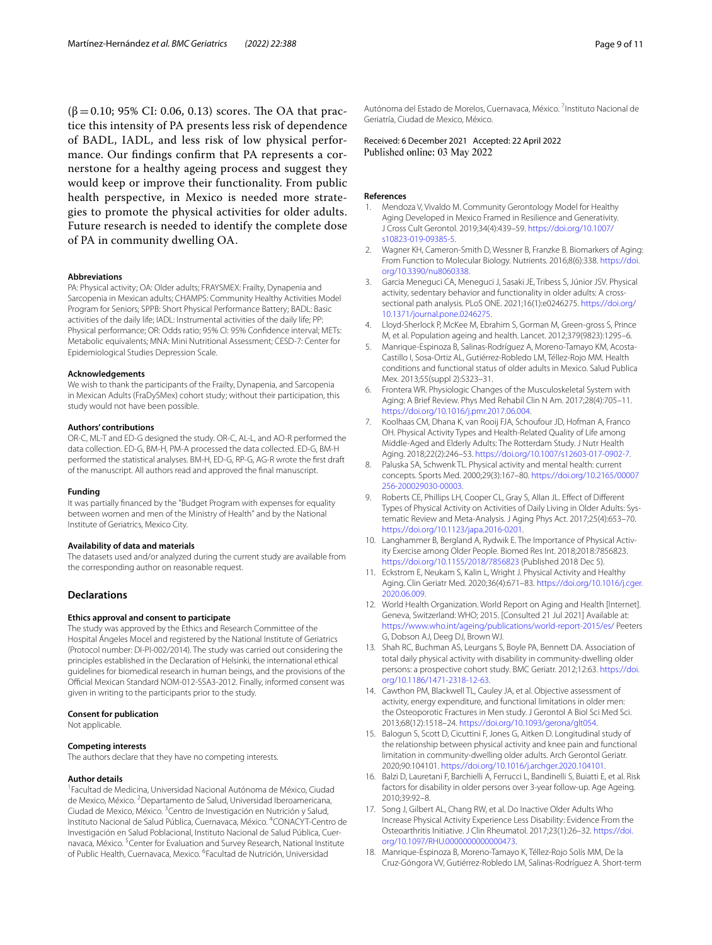$(\beta = 0.10; 95\% \text{ CI: } 0.06, 0.13) \text{ scores.}$  The OA that practice this intensity of PA presents less risk of dependence of BADL, IADL, and less risk of low physical performance. Our fndings confrm that PA represents a cornerstone for a healthy ageing process and suggest they would keep or improve their functionality. From public health perspective, in Mexico is needed more strategies to promote the physical activities for older adults. Future research is needed to identify the complete dose of PA in community dwelling OA.

#### **Abbreviations**

PA: Physical activity; OA: Older adults; FRAYSMEX: Frailty, Dynapenia and Sarcopenia in Mexican adults; CHAMPS: Community Healthy Activities Model Program for Seniors; SPPB: Short Physical Performance Battery; BADL: Basic activities of the daily life; IADL: Instrumental activities of the daily life; PP: Physical performance; OR: Odds ratio; 95% CI: 95% Confidence interval; METs: Metabolic equivalents; MNA: Mini Nutritional Assessment; CESD-7: Center for Epidemiological Studies Depression Scale.

#### **Acknowledgements**

We wish to thank the participants of the Frailty, Dynapenia, and Sarcopenia in Mexican Adults (FraDySMex) cohort study; without their participation, this study would not have been possible.

#### **Authors' contributions**

OR-C, ML-T and ED-G designed the study. OR-C, AL-L, and AO-R performed the data collection. ED-G, BM-H, PM-A processed the data collected. ED-G, BM-H performed the statistical analyses. BM-H, ED-G, RP-G, AG-R wrote the frst draft of the manuscript. All authors read and approved the fnal manuscript.

#### **Funding**

It was partially fnanced by the "Budget Program with expenses for equality between women and men of the Ministry of Health" and by the National Institute of Geriatrics, Mexico City.

## **Availability of data and materials**

The datasets used and/or analyzed during the current study are available from the corresponding author on reasonable request.

### **Declarations**

## **Ethics approval and consent to participate**

The study was approved by the Ethics and Research Committee of the Hospital Ángeles Mocel and registered by the National Institute of Geriatrics (Protocol number: DI-PI-002/2014). The study was carried out considering the principles established in the Declaration of Helsinki, the international ethical guidelines for biomedical research in human beings, and the provisions of the Official Mexican Standard NOM-012-SSA3-2012. Finally, informed consent was given in writing to the participants prior to the study.

#### **Consent for publication**

Not applicable.

# **Competing interests**

The authors declare that they have no competing interests.

#### **Author details**

1 Facultad de Medicina, Universidad Nacional Autónoma de México, Ciudad de Mexico, México. <sup>2</sup> Departamento de Salud, Universidad Iberoamericana, Ciudad de Mexico, México. <sup>3</sup> Centro de Investigación en Nutrición y Salud, Instituto Nacional de Salud Pública, Cuernavaca, México. 4 CONACYT‑Centro de Investigación en Salud Poblacional, Instituto Nacional de Salud Pública, Cuernavaca, México. <sup>5</sup> Center for Evaluation and Survey Research, National Institute of Public Health, Cuernavaca, Mexico. <sup>6</sup>Facultad de Nutrición, Universidad

Autónoma del Estado de Morelos, Cuernavaca, México.<sup>7</sup> Instituto Nacional de Geriatría, Ciudad de Mexico, México.

Received: 6 December 2021 Accepted: 22 April 2022<br>Published online: 03 May 2022

#### **References**

- <span id="page-8-0"></span>1. Mendoza V, Vivaldo M. Community Gerontology Model for Healthy Aging Developed in Mexico Framed in Resilience and Generativity. J Cross Cult Gerontol. 2019;34(4):439–59. [https://doi.org/10.1007/](https://doi.org/10.1007/s10823-019-09385-5) [s10823-019-09385-5](https://doi.org/10.1007/s10823-019-09385-5).
- <span id="page-8-1"></span>2. Wagner KH, Cameron-Smith D, Wessner B, Franzke B. Biomarkers of Aging: From Function to Molecular Biology. Nutrients. 2016;8(6):338. [https://doi.](https://doi.org/10.3390/nu8060338) [org/10.3390/nu8060338](https://doi.org/10.3390/nu8060338).
- <span id="page-8-2"></span>3. Garcia Meneguci CA, Meneguci J, Sasaki JE, Tribess S, Júnior JSV. Physical activity, sedentary behavior and functionality in older adults: A crosssectional path analysis. PLoS ONE. 2021;16(1):e0246275. [https://doi.org/](https://doi.org/10.1371/journal.pone.0246275) [10.1371/journal.pone.0246275](https://doi.org/10.1371/journal.pone.0246275).
- <span id="page-8-3"></span>4. Lloyd-Sherlock P, McKee M, Ebrahim S, Gorman M, Green-gross S, Prince M, et al. Population ageing and health. Lancet. 2012;379(9823):1295–6.
- <span id="page-8-4"></span>5. Manrique-Espinoza B, Salinas-Rodríguez A, Moreno-Tamayo KM, Acosta-Castillo I, Sosa-Ortiz AL, Gutiérrez-Robledo LM, Téllez-Rojo MM. Health conditions and functional status of older adults in Mexico. Salud Publica Mex. 2013;55(suppl 2):S323–31.
- <span id="page-8-5"></span>6. Frontera WR. Physiologic Changes of the Musculoskeletal System with Aging: A Brief Review. Phys Med Rehabil Clin N Am. 2017;28(4):705–11. <https://doi.org/10.1016/j.pmr.2017.06.004>.
- <span id="page-8-6"></span>7. Koolhaas CM, Dhana K, van Rooij FJA, Schoufour JD, Hofman A, Franco OH. Physical Activity Types and Health-Related Quality of Life among Middle-Aged and Elderly Adults: The Rotterdam Study. J Nutr Health Aging. 2018;22(2):246–53. [https://doi.org/10.1007/s12603-017-0902-7.](https://doi.org/10.1007/s12603-017-0902-7)
- <span id="page-8-7"></span>8. Paluska SA, Schwenk TL. Physical activity and mental health: current concepts. Sports Med. 2000;29(3):167–80. [https://doi.org/10.2165/00007](https://doi.org/10.2165/00007256-200029030-00003) [256-200029030-00003](https://doi.org/10.2165/00007256-200029030-00003).
- <span id="page-8-8"></span>Roberts CE, Phillips LH, Cooper CL, Gray S, Allan JL. Effect of Different Types of Physical Activity on Activities of Daily Living in Older Adults: Sys‑ tematic Review and Meta-Analysis. J Aging Phys Act. 2017;25(4):653–70. [https://doi.org/10.1123/japa.2016-0201.](https://doi.org/10.1123/japa.2016-0201)
- <span id="page-8-9"></span>10. Langhammer B, Bergland A, Rydwik E. The Importance of Physical Activity Exercise among Older People. Biomed Res Int. 2018;2018:7856823. <https://doi.org/10.1155/2018/7856823> (Published 2018 Dec 5).
- <span id="page-8-10"></span>11. Eckstrom E, Neukam S, Kalin L, Wright J. Physical Activity and Healthy Aging. Clin Geriatr Med. 2020;36(4):671–83. [https://doi.org/10.1016/j.cger.](https://doi.org/10.1016/j.cger.2020.06.009) [2020.06.009](https://doi.org/10.1016/j.cger.2020.06.009).
- <span id="page-8-11"></span>12. World Health Organization. World Report on Aging and Health [Internet]. Geneva, Switzerland: WHO; 2015. [Consulted 21 Jul 2021] Available at: <https://www.who.int/ageing/publications/world-report-2015/es/> Peeters G, Dobson AJ, Deeg DJ, Brown WJ.
- <span id="page-8-12"></span>13. Shah RC, Buchman AS, Leurgans S, Boyle PA, Bennett DA. Association of total daily physical activity with disability in community-dwelling older persons: a prospective cohort study. BMC Geriatr. 2012;12:63. [https://doi.](https://doi.org/10.1186/1471-2318-12-63) [org/10.1186/1471-2318-12-63](https://doi.org/10.1186/1471-2318-12-63).
- <span id="page-8-14"></span>14. Cawthon PM, Blackwell TL, Cauley JA, et al. Objective assessment of activity, energy expenditure, and functional limitations in older men: the Osteoporotic Fractures in Men study. J Gerontol A Biol Sci Med Sci. 2013;68(12):1518–24. [https://doi.org/10.1093/gerona/glt054.](https://doi.org/10.1093/gerona/glt054)
- 15. Balogun S, Scott D, Cicuttini F, Jones G, Aitken D. Longitudinal study of the relationship between physical activity and knee pain and functional limitation in community-dwelling older adults. Arch Gerontol Geriatr. 2020;90:104101. [https://doi.org/10.1016/j.archger.2020.104101.](https://doi.org/10.1016/j.archger.2020.104101)
- <span id="page-8-13"></span>16. Balzi D, Lauretani F, Barchielli A, Ferrucci L, Bandinelli S, Buiatti E, et al. Risk factors for disability in older persons over 3-year follow-up. Age Ageing. 2010;39:92–8.
- <span id="page-8-15"></span>17. Song J, Gilbert AL, Chang RW, et al. Do Inactive Older Adults Who Increase Physical Activity Experience Less Disability: Evidence From the Osteoarthritis Initiative. J Clin Rheumatol. 2017;23(1):26–32. [https://doi.](https://doi.org/10.1097/RHU.0000000000000473) [org/10.1097/RHU.0000000000000473](https://doi.org/10.1097/RHU.0000000000000473).
- <span id="page-8-16"></span>18. Manrique-Espinoza B, Moreno-Tamayo K, Téllez-Rojo Solís MM, De la Cruz-Góngora VV, Gutiérrez-Robledo LM, Salinas-Rodríguez A. Short-term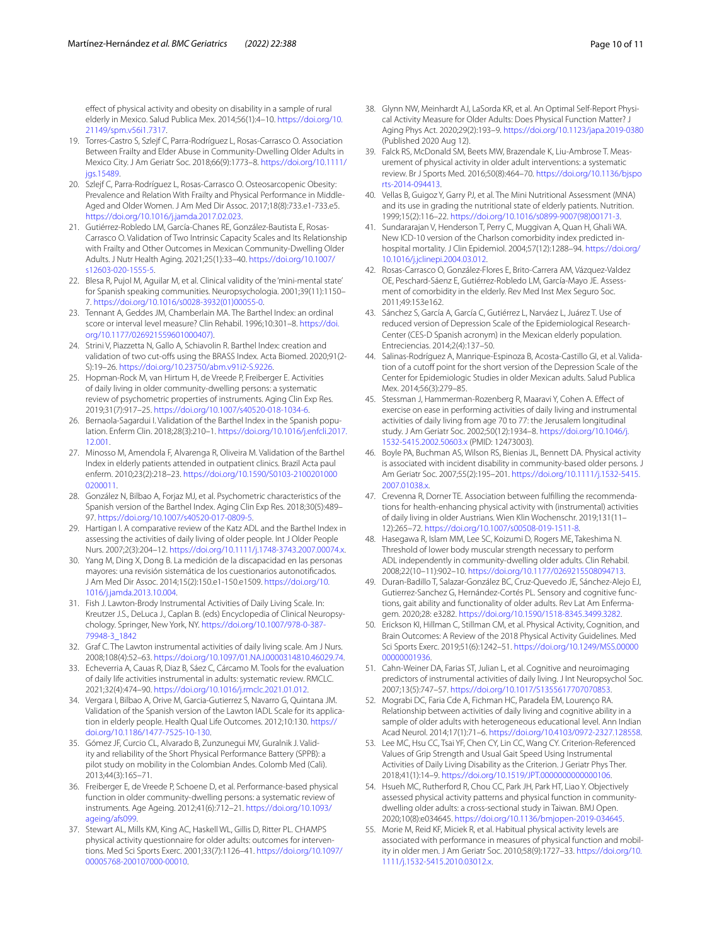efect of physical activity and obesity on disability in a sample of rural elderly in Mexico. Salud Publica Mex. 2014;56(1):4–10. [https://doi.org/10.](https://doi.org/10.21149/spm.v56i1.7317) [21149/spm.v56i1.7317.](https://doi.org/10.21149/spm.v56i1.7317)

- <span id="page-9-0"></span>19. Torres-Castro S, Szlejf C, Parra-Rodríguez L, Rosas-Carrasco O. Association Between Frailty and Elder Abuse in Community-Dwelling Older Adults in Mexico City. J Am Geriatr Soc. 2018;66(9):1773–8. [https://doi.org/10.1111/](https://doi.org/10.1111/jgs.15489) jgs. 15489.
- 20. Szlejf C, Parra-Rodríguez L, Rosas-Carrasco O. Osteosarcopenic Obesity: Prevalence and Relation With Frailty and Physical Performance in Middle-Aged and Older Women. J Am Med Dir Assoc. 2017;18(8):733.e1-733.e5. [https://doi.org/10.1016/j.jamda.2017.02.023.](https://doi.org/10.1016/j.jamda.2017.02.023)
- <span id="page-9-1"></span>21. Gutiérrez-Robledo LM, García-Chanes RE, González-Bautista E, Rosas-Carrasco O. Validation of Two Intrinsic Capacity Scales and Its Relationship with Frailty and Other Outcomes in Mexican Community-Dwelling Older Adults. J Nutr Health Aging. 2021;25(1):33–40. [https://doi.org/10.1007/](https://doi.org/10.1007/s12603-020-1555-5) [s12603-020-1555-5.](https://doi.org/10.1007/s12603-020-1555-5)
- <span id="page-9-2"></span>22. Blesa R, Pujol M, Aguilar M, et al. Clinical validity of the 'mini-mental state' for Spanish speaking communities. Neuropsychologia. 2001;39(11):1150– 7. [https://doi.org/10.1016/s0028-3932\(01\)00055-0.](https://doi.org/10.1016/s0028-3932(01)00055-0)
- <span id="page-9-3"></span>23. Tennant A, Geddes JM, Chamberlain MA. The Barthel Index: an ordinal score or interval level measure? Clin Rehabil. 1996;10:301–8. [https://doi.](https://doi.org/10.1177/026921559601000407)) [org/10.1177/026921559601000407\)](https://doi.org/10.1177/026921559601000407)).
- <span id="page-9-4"></span>24. Strini V, Piazzetta N, Gallo A, Schiavolin R. Barthel Index: creation and validation of two cut-offs using the BRASS Index. Acta Biomed. 2020;91(2-S):19–26. [https://doi.org/10.23750/abm.v91i2-S.9226.](https://doi.org/10.23750/abm.v91i2-S.9226)
- <span id="page-9-5"></span>25. Hopman-Rock M, van Hirtum H, de Vreede P, Freiberger E. Activities of daily living in older community-dwelling persons: a systematic review of psychometric properties of instruments. Aging Clin Exp Res. 2019;31(7):917–25. [https://doi.org/10.1007/s40520-018-1034-6.](https://doi.org/10.1007/s40520-018-1034-6)
- <span id="page-9-6"></span>26. Bernaola-Sagardui I. Validation of the Barthel Index in the Spanish population. Enferm Clin. 2018;28(3):210–1. [https://doi.org/10.1016/j.enfcli.2017.](https://doi.org/10.1016/j.enfcli.2017.12.001) [12.001](https://doi.org/10.1016/j.enfcli.2017.12.001).
- 27. Minosso M, Amendola F, Alvarenga R, Oliveira M. Validation of the Barthel Index in elderly patients attended in outpatient clinics. Brazil Acta paul enferm. 2010;23(2):218–23. [https://doi.org/10.1590/S0103-2100201000](https://doi.org/10.1590/S0103-21002010000200011) [0200011](https://doi.org/10.1590/S0103-21002010000200011).
- 28. González N, Bilbao A, Forjaz MJ, et al. Psychometric characteristics of the Spanish version of the Barthel Index. Aging Clin Exp Res. 2018;30(5):489– 97. [https://doi.org/10.1007/s40520-017-0809-5.](https://doi.org/10.1007/s40520-017-0809-5)
- 29. Hartigan I. A comparative review of the Katz ADL and the Barthel Index in assessing the activities of daily living of older people. Int J Older People Nurs. 2007;2(3):204–12. <https://doi.org/10.1111/j.1748-3743.2007.00074.x>.
- <span id="page-9-7"></span>30. Yang M, Ding X, Dong B. La medición de la discapacidad en las personas mayores: una revisión sistemática de los cuestionarios autonotifcados. J Am Med Dir Assoc. 2014;15(2):150.e1-150.e1509. [https://doi.org/10.](https://doi.org/10.1016/j.jamda.2013.10.004) [1016/j.jamda.2013.10.004](https://doi.org/10.1016/j.jamda.2013.10.004).
- <span id="page-9-8"></span>31. Fish J. Lawton-Brody Instrumental Activities of Daily Living Scale. In: Kreutzer J.S., DeLuca J., Caplan B. (eds) Encyclopedia of Clinical Neuropsychology. Springer, New York, NY. [https://doi.org/10.1007/978-0-387-](https://doi.org/10.1007/978-0-387-79948-3_1842) [79948-3\\_1842](https://doi.org/10.1007/978-0-387-79948-3_1842)
- <span id="page-9-9"></span>32. Graf C. The Lawton instrumental activities of daily living scale. Am J Nurs. 2008;108(4):52–63. <https://doi.org/10.1097/01.NAJ.0000314810.46029.74>.
- <span id="page-9-10"></span>33. Echeverria A, Cauas R, Diaz B, Sáez C, Cárcamo M. Tools for the evaluation of daily life activities instrumental in adults: systematic review. RMCLC. 2021;32(4):474–90. <https://doi.org/10.1016/j.rmclc.2021.01.012>.
- <span id="page-9-11"></span>34. Vergara I, Bilbao A, Orive M, Garcia-Gutierrez S, Navarro G, Quintana JM. Validation of the Spanish version of the Lawton IADL Scale for its application in elderly people. Health Qual Life Outcomes. 2012;10:130. [https://](https://doi.org/10.1186/1477-7525-10-130) [doi.org/10.1186/1477-7525-10-130.](https://doi.org/10.1186/1477-7525-10-130)
- <span id="page-9-12"></span>35. Gómez JF, Curcio CL, Alvarado B, Zunzunegui MV, Guralnik J. Validity and reliability of the Short Physical Performance Battery (SPPB): a pilot study on mobility in the Colombian Andes. Colomb Med (Cali). 2013;44(3):165–71.
- <span id="page-9-13"></span>36. Freiberger E, de Vreede P, Schoene D, et al. Performance-based physical function in older community-dwelling persons: a systematic review of instruments. Age Ageing. 2012;41(6):712–21. [https://doi.org/10.1093/](https://doi.org/10.1093/ageing/afs099) [ageing/afs099](https://doi.org/10.1093/ageing/afs099).
- <span id="page-9-14"></span>37. Stewart AL, Mills KM, King AC, Haskell WL, Gillis D, Ritter PL. CHAMPS physical activity questionnaire for older adults: outcomes for interventions. Med Sci Sports Exerc. 2001;33(7):1126–41. [https://doi.org/10.1097/](https://doi.org/10.1097/00005768-200107000-00010) [00005768-200107000-00010.](https://doi.org/10.1097/00005768-200107000-00010)
- <span id="page-9-15"></span>38. Glynn NW, Meinhardt AJ, LaSorda KR, et al. An Optimal Self-Report Physical Activity Measure for Older Adults: Does Physical Function Matter? J Aging Phys Act. 2020;29(2):193–9.<https://doi.org/10.1123/japa.2019-0380> (Published 2020 Aug 12).
- <span id="page-9-16"></span>39. Falck RS, McDonald SM, Beets MW, Brazendale K, Liu-Ambrose T. Measurement of physical activity in older adult interventions: a systematic review. Br J Sports Med. 2016;50(8):464–70. [https://doi.org/10.1136/bjspo](https://doi.org/10.1136/bjsports-2014-094413) [rts-2014-094413](https://doi.org/10.1136/bjsports-2014-094413).
- <span id="page-9-17"></span>40. Vellas B, Guigoz Y, Garry PJ, et al. The Mini Nutritional Assessment (MNA) and its use in grading the nutritional state of elderly patients. Nutrition. 1999;15(2):116–22. [https://doi.org/10.1016/s0899-9007\(98\)00171-3.](https://doi.org/10.1016/s0899-9007(98)00171-3)
- <span id="page-9-18"></span>41. Sundararajan V, Henderson T, Perry C, Muggivan A, Quan H, Ghali WA. New ICD-10 version of the Charlson comorbidity index predicted inhospital mortality. J Clin Epidemiol. 2004;57(12):1288–94. [https://doi.org/](https://doi.org/10.1016/j.jclinepi.2004.03.012) [10.1016/j.jclinepi.2004.03.012.](https://doi.org/10.1016/j.jclinepi.2004.03.012)
- <span id="page-9-19"></span>42. Rosas-Carrasco O, González-Flores E, Brito-Carrera AM, Vázquez-Valdez OE, Peschard-Sáenz E, Gutiérrez-Robledo LM, García-Mayo JE. Assessment of comorbidity in the elderly. Rev Med Inst Mex Seguro Soc. 2011;49:153e162.
- <span id="page-9-20"></span>43. Sánchez S, García A, García C, Gutiérrez L, Narváez L, Juárez T. Use of reduced version of Depression Scale of the Epidemiological Research-Center (CES-D Spanish acronym) in the Mexican elderly population. Entreciencias. 2014;2(4):137–50.
- <span id="page-9-21"></span>44. Salinas-Rodríguez A, Manrique-Espinoza B, Acosta-Castillo GI, et al. Validation of a cutoff point for the short version of the Depression Scale of the Center for Epidemiologic Studies in older Mexican adults. Salud Publica Mex. 2014;56(3):279–85.
- <span id="page-9-22"></span>45. Stessman J, Hammerman-Rozenberg R, Maaravi Y, Cohen A. Efect of exercise on ease in performing activities of daily living and instrumental activities of daily living from age 70 to 77: the Jerusalem longitudinal study. J Am Geriatr Soc. 2002;50(12):1934–8. [https://doi.org/10.1046/j.](https://doi.org/10.1046/j.1532-5415.2002.50603.x) [1532-5415.2002.50603.x](https://doi.org/10.1046/j.1532-5415.2002.50603.x) (PMID: 12473003).
- <span id="page-9-25"></span>46. Boyle PA, Buchman AS, Wilson RS, Bienias JL, Bennett DA. Physical activity is associated with incident disability in community-based older persons. J Am Geriatr Soc. 2007;55(2):195–201. [https://doi.org/10.1111/j.1532-5415.](https://doi.org/10.1111/j.1532-5415.2007.01038.x) [2007.01038.x](https://doi.org/10.1111/j.1532-5415.2007.01038.x).
- <span id="page-9-23"></span>47. Crevenna R, Dorner TE. Association between fulfilling the recommendations for health-enhancing physical activity with (instrumental) activities of daily living in older Austrians. Wien Klin Wochenschr. 2019;131(11– 12):265–72.<https://doi.org/10.1007/s00508-019-1511-8>.
- <span id="page-9-24"></span>48. Hasegawa R, Islam MM, Lee SC, Koizumi D, Rogers ME, Takeshima N. Threshold of lower body muscular strength necessary to perform ADL independently in community-dwelling older adults. Clin Rehabil. 2008;22(10–11):902–10. <https://doi.org/10.1177/0269215508094713>.
- <span id="page-9-26"></span>49. Duran-Badillo T, Salazar-González BC, Cruz-Quevedo JE, Sánchez-Alejo EJ, Gutierrez-Sanchez G, Hernández-Cortés PL. Sensory and cognitive func‑ tions, gait ability and functionality of older adults. Rev Lat Am Enfermagem. 2020;28: e3282. <https://doi.org/10.1590/1518-8345.3499.3282>.
- <span id="page-9-27"></span>50. Erickson KI, Hillman C, Stillman CM, et al. Physical Activity, Cognition, and Brain Outcomes: A Review of the 2018 Physical Activity Guidelines. Med Sci Sports Exerc. 2019;51(6):1242–51. [https://doi.org/10.1249/MSS.00000](https://doi.org/10.1249/MSS.0000000000001936) [00000001936.](https://doi.org/10.1249/MSS.0000000000001936)
- <span id="page-9-28"></span>51. Cahn-Weiner DA, Farias ST, Julian L, et al. Cognitive and neuroimaging predictors of instrumental activities of daily living. J Int Neuropsychol Soc. 2007;13(5):747–57. [https://doi.org/10.1017/S1355617707070853.](https://doi.org/10.1017/S1355617707070853)
- <span id="page-9-29"></span>52. Mograbi DC, Faria Cde A, Fichman HC, Paradela EM, Lourenço RA. Relationship between activities of daily living and cognitive ability in a sample of older adults with heterogeneous educational level. Ann Indian Acad Neurol. 2014;17(1):71–6.<https://doi.org/10.4103/0972-2327.128558>.
- <span id="page-9-30"></span>53. Lee MC, Hsu CC, Tsai YF, Chen CY, Lin CC, Wang CY. Criterion-Referenced Values of Grip Strength and Usual Gait Speed Using Instrumental Activities of Daily Living Disability as the Criterion. J Geriatr Phys Ther. 2018;41(1):14–9. [https://doi.org/10.1519/JPT.0000000000000106.](https://doi.org/10.1519/JPT.0000000000000106)
- <span id="page-9-31"></span>54. Hsueh MC, Rutherford R, Chou CC, Park JH, Park HT, Liao Y. Objectively assessed physical activity patterns and physical function in communitydwelling older adults: a cross-sectional study in Taiwan. BMJ Open. 2020;10(8):e034645.<https://doi.org/10.1136/bmjopen-2019-034645>.
- <span id="page-9-32"></span>55. Morie M, Reid KF, Miciek R, et al. Habitual physical activity levels are associated with performance in measures of physical function and mobility in older men. J Am Geriatr Soc. 2010;58(9):1727–33. [https://doi.org/10.](https://doi.org/10.1111/j.1532-5415.2010.03012.x) [1111/j.1532-5415.2010.03012.x](https://doi.org/10.1111/j.1532-5415.2010.03012.x).